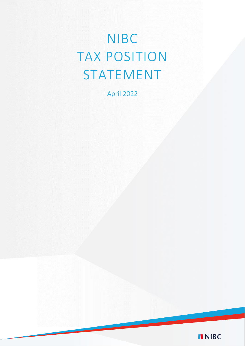# NIBC TAX POSITION STATEMENT

April 2022

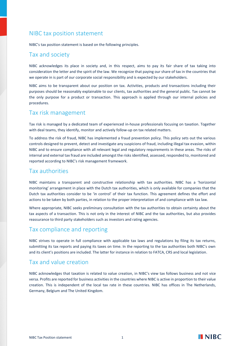# NIBC tax position statement

NIBC's tax position statement is based on the following principles.

### Tax and society

NIBC acknowledges its place in society and, in this respect, aims to pay its fair share of tax taking into consideration the letter and the spirit of the law. We recognize that paying our share of tax in the countries that we operate in is part of our corporate social responsibility and is expected by our stakeholders.

NIBC aims to be transparent about our position on tax. Activities, products and transactions including their purposes should be reasonably explainable to our clients, tax authorities and the general public. Tax cannot be the only purpose for a product or transaction. This approach is applied through our internal policies and procedures.

#### Tax risk management

Tax risk is managed by a dedicated team of experienced in-house professionals focusing on taxation. Together with deal teams, they identify, monitor and actively follow-up on tax related matters.

To address the risk of fraud, NIBC has implemented a fraud prevention policy. This policy sets out the various controls designed to prevent, detect and investigate any suspicions of fraud, including illegal tax evasion, within NIBC and to ensure compliance with all relevant legal and regulatory requirements in these areas. The risks of internal and external tax fraud are included amongst the risks identified, assessed, responded to, monitored and reported according to NIBC's risk management framework.

### Tax authorities

NIBC maintains a transparent and constructive relationship with tax authorities. NIBC has a 'horizontal monitoring' arrangement in place with the Dutch tax authorities, which is only available for companies that the Dutch tax authorities consider to be 'in control' of their tax function. This agreement defines the effort and actions to be taken by both parties, in relation to the proper interpretation of and compliance with tax law.

Where appropriate, NIBC seeks preliminary consultation with the tax authorities to obtain certainty about the tax aspects of a transaction. This is not only in the interest of NIBC and the tax authorities, but also provides reassurance to third party stakeholders such as investors and rating agencies.

## Tax compliance and reporting

NIBC strives to operate in full compliance with applicable tax laws and regulations by filing its tax returns, submitting its tax reports and paying its taxes on time. In the reporting to the tax authorities both NIBC's own and its client's positions are included. The latter for instance in relation to FATCA, CRS and local legislation.

#### Tax and value creation

NIBC acknowledges that taxation is related to value creation, in NIBC's view tax follows business and not vice versa. Profits are reported for business activities in the countries where NIBC is active in proportion to their value creation. This is independent of the local tax rate in these countries. NIBC has offices in The Netherlands, Germany, Belgium and The United Kingdom.